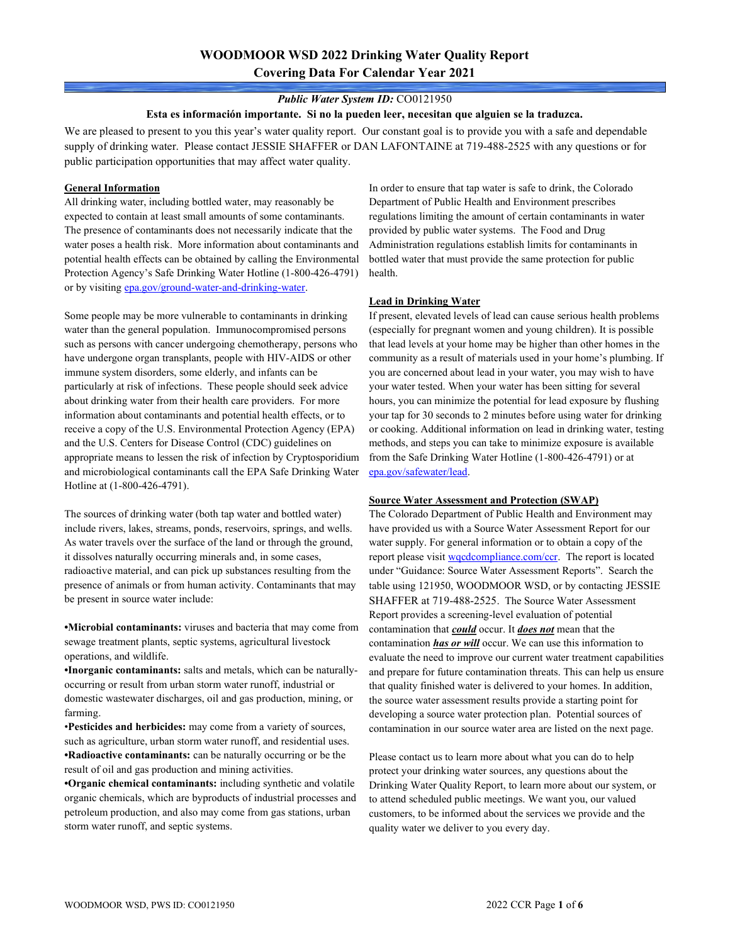## Public Water System ID: CO0121950

### Esta es información importante. Si no la pueden leer, necesitan que alguien se la traduzca.

We are pleased to present to you this year's water quality report. Our constant goal is to provide you with a safe and dependable supply of drinking water. Please contact JESSIE SHAFFER or DAN LAFONTAINE at 719-488-2525 with any questions or for public participation opportunities that may affect water quality.

### General Information

All drinking water, including bottled water, may reasonably be expected to contain at least small amounts of some contaminants. The presence of contaminants does not necessarily indicate that the water poses a health risk. More information about contaminants and potential health effects can be obtained by calling the Environmental Protection Agency's Safe Drinking Water Hotline (1-800-426-4791) or by visiting epa.gov/ground-water-and-drinking-water.

Some people may be more vulnerable to contaminants in drinking water than the general population. Immunocompromised persons such as persons with cancer undergoing chemotherapy, persons who have undergone organ transplants, people with HIV-AIDS or other immune system disorders, some elderly, and infants can be particularly at risk of infections. These people should seek advice about drinking water from their health care providers. For more information about contaminants and potential health effects, or to receive a copy of the U.S. Environmental Protection Agency (EPA) and the U.S. Centers for Disease Control (CDC) guidelines on appropriate means to lessen the risk of infection by Cryptosporidium and microbiological contaminants call the EPA Safe Drinking Water Hotline at (1-800-426-4791).

The sources of drinking water (both tap water and bottled water) include rivers, lakes, streams, ponds, reservoirs, springs, and wells. As water travels over the surface of the land or through the ground, it dissolves naturally occurring minerals and, in some cases, radioactive material, and can pick up substances resulting from the presence of animals or from human activity. Contaminants that may be present in source water include:

•Microbial contaminants: viruses and bacteria that may come from sewage treatment plants, septic systems, agricultural livestock operations, and wildlife.

•Inorganic contaminants: salts and metals, which can be naturallyoccurring or result from urban storm water runoff, industrial or domestic wastewater discharges, oil and gas production, mining, or farming.

•Pesticides and herbicides: may come from a variety of sources, such as agriculture, urban storm water runoff, and residential uses. •Radioactive contaminants: can be naturally occurring or be the result of oil and gas production and mining activities.

•Organic chemical contaminants: including synthetic and volatile organic chemicals, which are byproducts of industrial processes and petroleum production, and also may come from gas stations, urban storm water runoff, and septic systems.

In order to ensure that tap water is safe to drink, the Colorado Department of Public Health and Environment prescribes regulations limiting the amount of certain contaminants in water provided by public water systems. The Food and Drug Administration regulations establish limits for contaminants in bottled water that must provide the same protection for public health.

### Lead in Drinking Water

If present, elevated levels of lead can cause serious health problems (especially for pregnant women and young children). It is possible that lead levels at your home may be higher than other homes in the community as a result of materials used in your home's plumbing. If you are concerned about lead in your water, you may wish to have your water tested. When your water has been sitting for several hours, you can minimize the potential for lead exposure by flushing your tap for 30 seconds to 2 minutes before using water for drinking or cooking. Additional information on lead in drinking water, testing methods, and steps you can take to minimize exposure is available from the Safe Drinking Water Hotline (1-800-426-4791) or at epa.gov/safewater/lead.

#### Source Water Assessment and Protection (SWAP)

The Colorado Department of Public Health and Environment may have provided us with a Source Water Assessment Report for our water supply. For general information or to obtain a copy of the report please visit wqcdcompliance.com/ccr. The report is located under "Guidance: Source Water Assessment Reports". Search the table using 121950, WOODMOOR WSD, or by contacting JESSIE SHAFFER at 719-488-2525. The Source Water Assessment Report provides a screening-level evaluation of potential contamination that *could* occur. It *does not* mean that the contamination has or will occur. We can use this information to evaluate the need to improve our current water treatment capabilities and prepare for future contamination threats. This can help us ensure that quality finished water is delivered to your homes. In addition, the source water assessment results provide a starting point for developing a source water protection plan. Potential sources of contamination in our source water area are listed on the next page.

Please contact us to learn more about what you can do to help protect your drinking water sources, any questions about the Drinking Water Quality Report, to learn more about our system, or to attend scheduled public meetings. We want you, our valued customers, to be informed about the services we provide and the quality water we deliver to you every day.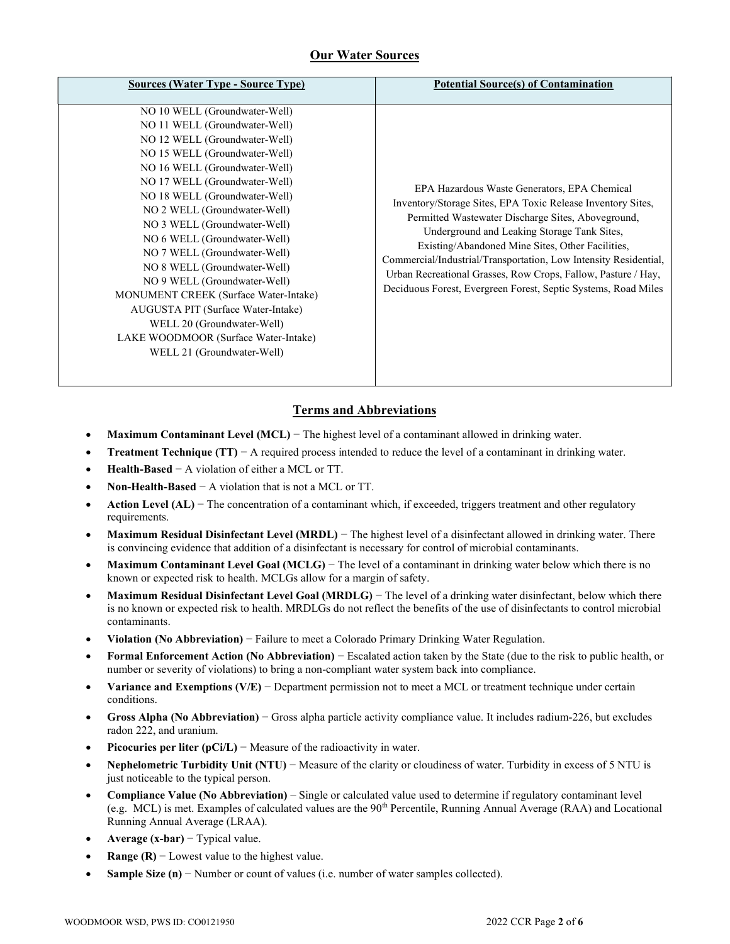# Our Water Sources

| <b>Sources (Water Type - Source Type)</b>                                                                                                                                                                                                                                                                                                                                                                                                                                                                                                                                                                                     | <b>Potential Source(s) of Contamination</b>                                                                                                                                                                                                                                                                                                                                                                                                                                 |
|-------------------------------------------------------------------------------------------------------------------------------------------------------------------------------------------------------------------------------------------------------------------------------------------------------------------------------------------------------------------------------------------------------------------------------------------------------------------------------------------------------------------------------------------------------------------------------------------------------------------------------|-----------------------------------------------------------------------------------------------------------------------------------------------------------------------------------------------------------------------------------------------------------------------------------------------------------------------------------------------------------------------------------------------------------------------------------------------------------------------------|
| NO 10 WELL (Groundwater-Well)<br>NO 11 WELL (Groundwater-Well)<br>NO 12 WELL (Groundwater-Well)<br>NO 15 WELL (Groundwater-Well)<br>NO 16 WELL (Groundwater-Well)<br>NO 17 WELL (Groundwater-Well)<br>NO 18 WELL (Groundwater-Well)<br>NO 2 WELL (Groundwater-Well)<br>NO 3 WELL (Groundwater-Well)<br>NO 6 WELL (Groundwater-Well)<br>NO 7 WELL (Groundwater-Well)<br>NO 8 WELL (Groundwater-Well)<br>NO 9 WELL (Groundwater-Well)<br><b>MONUMENT CREEK</b> (Surface Water-Intake)<br>AUGUSTA PIT (Surface Water-Intake)<br>WELL 20 (Groundwater-Well)<br>LAKE WOODMOOR (Surface Water-Intake)<br>WELL 21 (Groundwater-Well) | EPA Hazardous Waste Generators, EPA Chemical<br>Inventory/Storage Sites, EPA Toxic Release Inventory Sites,<br>Permitted Wastewater Discharge Sites, Aboveground,<br>Underground and Leaking Storage Tank Sites,<br>Existing/Abandoned Mine Sites, Other Facilities,<br>Commercial/Industrial/Transportation, Low Intensity Residential,<br>Urban Recreational Grasses, Row Crops, Fallow, Pasture / Hay,<br>Deciduous Forest, Evergreen Forest, Septic Systems, Road Miles |

# Terms and Abbreviations

- Maximum Contaminant Level (MCL) The highest level of a contaminant allowed in drinking water.
- **Treatment Technique (TT)**  $-A$  required process intended to reduce the level of a contaminant in drinking water.
- Health-Based − A violation of either a MCL or TT.
- Non-Health-Based − A violation that is not a MCL or TT.
- Action Level (AL) The concentration of a contaminant which, if exceeded, triggers treatment and other regulatory requirements.
- Maximum Residual Disinfectant Level (MRDL) The highest level of a disinfectant allowed in drinking water. There is convincing evidence that addition of a disinfectant is necessary for control of microbial contaminants.
- Maximum Contaminant Level Goal (MCLG) The level of a contaminant in drinking water below which there is no known or expected risk to health. MCLGs allow for a margin of safety.
- Maximum Residual Disinfectant Level Goal (MRDLG) The level of a drinking water disinfectant, below which there is no known or expected risk to health. MRDLGs do not reflect the benefits of the use of disinfectants to control microbial contaminants.
- Violation (No Abbreviation) − Failure to meet a Colorado Primary Drinking Water Regulation.
- Formal Enforcement Action (No Abbreviation) − Escalated action taken by the State (due to the risk to public health, or number or severity of violations) to bring a non-compliant water system back into compliance.
- Variance and Exemptions (V/E) − Department permission not to meet a MCL or treatment technique under certain conditions.
- Gross Alpha (No Abbreviation) − Gross alpha particle activity compliance value. It includes radium-226, but excludes radon 222, and uranium.
- **Picocuries per liter (pCi/L)** Measure of the radioactivity in water.
- Nephelometric Turbidity Unit (NTU) Measure of the clarity or cloudiness of water. Turbidity in excess of 5 NTU is just noticeable to the typical person.
- Compliance Value (No Abbreviation) Single or calculated value used to determine if regulatory contaminant level (e.g. MCL) is met. Examples of calculated values are the  $90<sup>th</sup>$  Percentile, Running Annual Average (RAA) and Locational Running Annual Average (LRAA).
- Average  $(x-bar)$  Typical value.
- **Range (R)**  $-$  Lowest value to the highest value.
- **Sample Size (n)**  $-$  Number or count of values (i.e. number of water samples collected).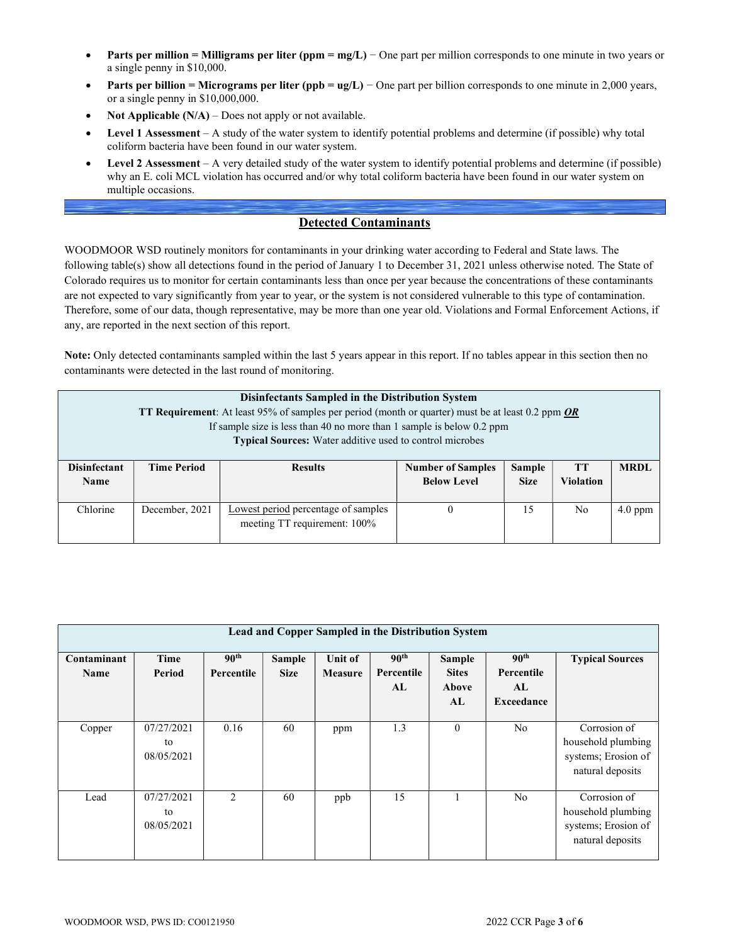- Parts per million = Milligrams per liter (ppm = mg/L) One part per million corresponds to one minute in two years or a single penny in \$10,000.
- Parts per billion = Micrograms per liter (ppb =  $ug/L$ ) One part per billion corresponds to one minute in 2,000 years, or a single penny in \$10,000,000.
- Not Applicable  $(N/A)$  Does not apply or not available.
- Level 1 Assessment A study of the water system to identify potential problems and determine (if possible) why total coliform bacteria have been found in our water system.
- Level 2 Assessment A very detailed study of the water system to identify potential problems and determine (if possible) why an E. coli MCL violation has occurred and/or why total coliform bacteria have been found in our water system on multiple occasions.

# Detected Contaminants

WOODMOOR WSD routinely monitors for contaminants in your drinking water according to Federal and State laws. The following table(s) show all detections found in the period of January 1 to December 31, 2021 unless otherwise noted. The State of Colorado requires us to monitor for certain contaminants less than once per year because the concentrations of these contaminants are not expected to vary significantly from year to year, or the system is not considered vulnerable to this type of contamination. Therefore, some of our data, though representative, may be more than one year old. Violations and Formal Enforcement Actions, if any, are reported in the next section of this report.

Note: Only detected contaminants sampled within the last 5 years appear in this report. If no tables appear in this section then no contaminants were detected in the last round of monitoring.

|                                    | Disinfectants Sampled in the Distribution System<br><b>TT Requirement:</b> At least 95% of samples per period (month or quarter) must be at least 0.2 ppm <b>OR</b><br>If sample size is less than 40 no more than 1 sample is below $0.2$ ppm<br>Typical Sources: Water additive used to control microbes |                                                                     |                                                |                              |                 |             |  |
|------------------------------------|------------------------------------------------------------------------------------------------------------------------------------------------------------------------------------------------------------------------------------------------------------------------------------------------------------|---------------------------------------------------------------------|------------------------------------------------|------------------------------|-----------------|-------------|--|
| <b>Disinfectant</b><br><b>Name</b> | <b>Time Period</b>                                                                                                                                                                                                                                                                                         | <b>Results</b>                                                      | <b>Number of Samples</b><br><b>Below Level</b> | <b>Sample</b><br><b>Size</b> | TT<br>Violation | <b>MRDL</b> |  |
| Chlorine                           | December, 2021                                                                                                                                                                                                                                                                                             | Lowest period percentage of samples<br>meeting TT requirement: 100% | 0                                              | 15                           | N <sub>0</sub>  | $4.0$ ppm   |  |

| Lead and Copper Sampled in the Distribution System |                                |                                |                              |                           |                                      |                                              |                                                    |                                                                               |
|----------------------------------------------------|--------------------------------|--------------------------------|------------------------------|---------------------------|--------------------------------------|----------------------------------------------|----------------------------------------------------|-------------------------------------------------------------------------------|
| Contaminant<br><b>Name</b>                         | Time<br>Period                 | 90 <sup>th</sup><br>Percentile | <b>Sample</b><br><b>Size</b> | Unit of<br><b>Measure</b> | 90 <sup>th</sup><br>Percentile<br>AL | <b>Sample</b><br><b>Sites</b><br>Above<br>AL | 90 <sup>th</sup><br>Percentile<br>AL<br>Exceedance | <b>Typical Sources</b>                                                        |
| Copper                                             | 07/27/2021<br>to<br>08/05/2021 | 0.16                           | 60                           | ppm                       | 1.3                                  | $\theta$                                     | N <sub>o</sub>                                     | Corrosion of<br>household plumbing<br>systems; Erosion of<br>natural deposits |
| Lead                                               | 07/27/2021<br>to<br>08/05/2021 | $\mathfrak{D}$                 | 60                           | ppb                       | 15                                   |                                              | N <sub>o</sub>                                     | Corrosion of<br>household plumbing<br>systems; Erosion of<br>natural deposits |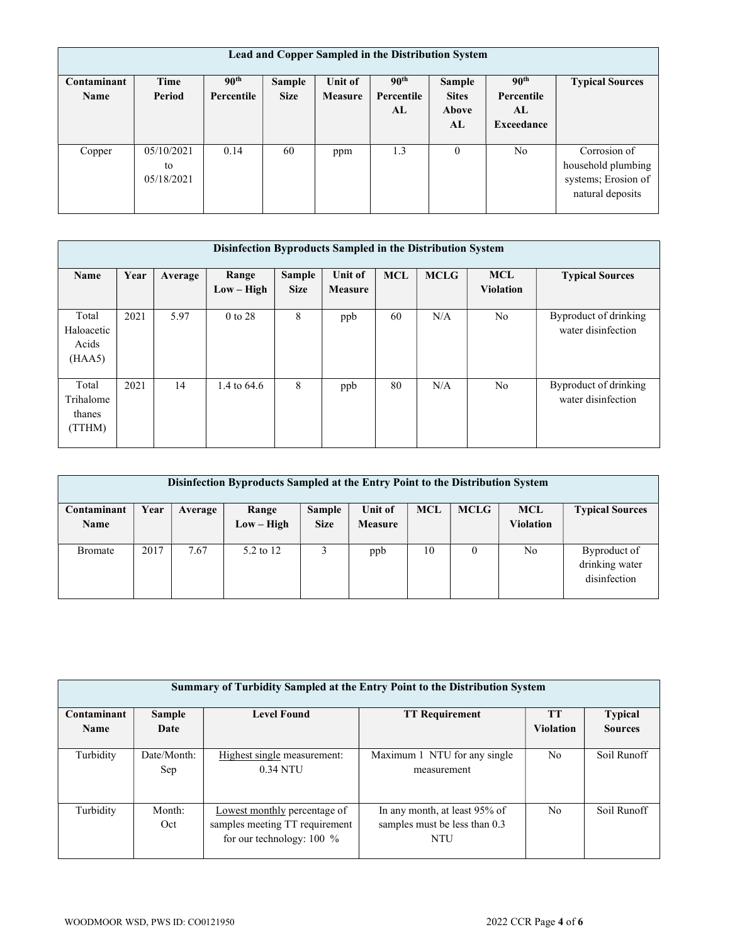| Lead and Copper Sampled in the Distribution System |                                |                                |                       |                           |                                      |                                              |                                                    |                                                                               |
|----------------------------------------------------|--------------------------------|--------------------------------|-----------------------|---------------------------|--------------------------------------|----------------------------------------------|----------------------------------------------------|-------------------------------------------------------------------------------|
| Contaminant<br><b>Name</b>                         | Time<br>Period                 | 90 <sup>th</sup><br>Percentile | Sample<br><b>Size</b> | <b>Unit of</b><br>Measure | 90 <sup>th</sup><br>Percentile<br>AL | Sample<br><b>Sites</b><br><b>Above</b><br>AL | 90 <sup>th</sup><br>Percentile<br>AL<br>Exceedance | <b>Typical Sources</b>                                                        |
| Copper                                             | 05/10/2021<br>to<br>05/18/2021 | 0.14                           | 60                    | ppm                       | 1.3                                  | $\theta$                                     | No                                                 | Corrosion of<br>household plumbing<br>systems; Erosion of<br>natural deposits |

| Disinfection Byproducts Sampled in the Distribution System |      |         |                       |                              |                           |            |             |                                |                                             |
|------------------------------------------------------------|------|---------|-----------------------|------------------------------|---------------------------|------------|-------------|--------------------------------|---------------------------------------------|
| Name                                                       | Year | Average | Range<br>$Low - High$ | <b>Sample</b><br><b>Size</b> | <b>Unit of</b><br>Measure | <b>MCL</b> | <b>MCLG</b> | <b>MCL</b><br><b>Violation</b> | <b>Typical Sources</b>                      |
| Total<br>Haloacetic<br>Acids<br>(HAA5)                     | 2021 | 5.97    | $0$ to 28             | 8                            | ppb                       | 60         | N/A         | No                             | Byproduct of drinking<br>water disinfection |
| Total<br>Trihalome<br>thanes<br>(TTHM)                     | 2021 | 14      | 1.4 to 64.6           | 8                            | ppb                       | 80         | N/A         | N <sub>o</sub>                 | Byproduct of drinking<br>water disinfection |

| Disinfection Byproducts Sampled at the Entry Point to the Distribution System |      |         |              |             |                |            |             |                  |                        |
|-------------------------------------------------------------------------------|------|---------|--------------|-------------|----------------|------------|-------------|------------------|------------------------|
| Contaminant                                                                   | Year | Average | Range        | Sample      | Unit of        | <b>MCL</b> | <b>MCLG</b> | <b>MCL</b>       | <b>Typical Sources</b> |
| <b>Name</b>                                                                   |      |         | $Low - High$ | <b>Size</b> | <b>Measure</b> |            |             | <b>Violation</b> |                        |
|                                                                               |      |         |              |             |                |            |             |                  |                        |
| <b>Bromate</b>                                                                | 2017 | 7.67    | 5.2 to 12    |             | ppb            | 10         | $\theta$    | No               | Byproduct of           |
|                                                                               |      |         |              |             |                |            |             |                  | drinking water         |
|                                                                               |      |         |              |             |                |            |             |                  | disinfection           |
|                                                                               |      |         |              |             |                |            |             |                  |                        |

| Summary of Turbidity Sampled at the Entry Point to the Distribution System |                    |                                                                                               |                                                                              |                  |                |  |  |  |
|----------------------------------------------------------------------------|--------------------|-----------------------------------------------------------------------------------------------|------------------------------------------------------------------------------|------------------|----------------|--|--|--|
| Contaminant                                                                | <b>Sample</b>      | <b>Level Found</b>                                                                            | <b>TT Requirement</b>                                                        | <b>TT</b>        | <b>Typical</b> |  |  |  |
| <b>Name</b>                                                                | Date               |                                                                                               |                                                                              | <b>Violation</b> | <b>Sources</b> |  |  |  |
| Turbidity                                                                  | Date/Month:<br>Sep | Highest single measurement:<br>0.34 NTU                                                       | Maximum 1 NTU for any single<br>measurement                                  | No               | Soil Runoff    |  |  |  |
| Turbidity                                                                  | Month:<br>Oct      | Lowest monthly percentage of<br>samples meeting TT requirement<br>for our technology: $100\%$ | In any month, at least 95% of<br>samples must be less than 0.3<br><b>NTU</b> | N <sub>o</sub>   | Soil Runoff    |  |  |  |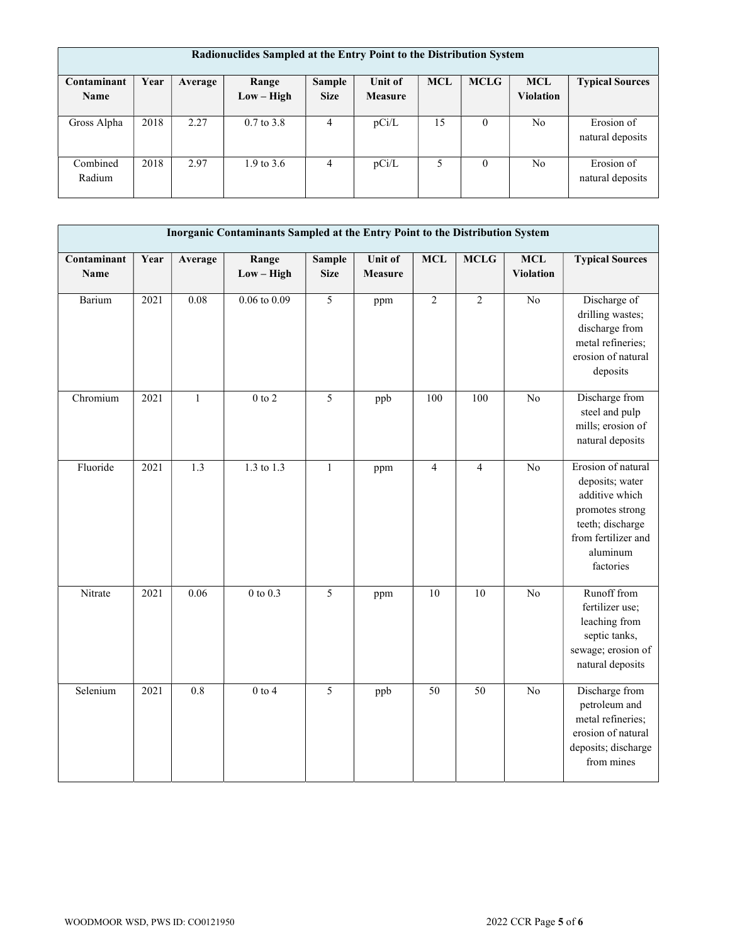| Radionuclides Sampled at the Entry Point to the Distribution System |      |         |                       |             |                |            |             |                |                                |
|---------------------------------------------------------------------|------|---------|-----------------------|-------------|----------------|------------|-------------|----------------|--------------------------------|
| Contaminant                                                         | Year | Average | Range                 | Sample      | <b>Unit of</b> | <b>MCL</b> | <b>MCLG</b> | <b>MCL</b>     | <b>Typical Sources</b>         |
| <b>Name</b>                                                         |      |         | $Low - High$          | <b>Size</b> | <b>Measure</b> |            |             | Violation      |                                |
| Gross Alpha                                                         | 2018 | 2.27    | $0.7 \text{ to } 3.8$ | 4           | pCi/L          | 15         | $\Omega$    | No             | Erosion of<br>natural deposits |
| Combined<br>Radium                                                  | 2018 | 2.97    | 1.9 to $3.6$          | 4           | pCi/L          | 5          | $\theta$    | N <sub>0</sub> | Erosion of<br>natural deposits |

|                            | Inorganic Contaminants Sampled at the Entry Point to the Distribution System |                  |                       |                              |                    |                 |                 |                                |                                                                                                                                                |
|----------------------------|------------------------------------------------------------------------------|------------------|-----------------------|------------------------------|--------------------|-----------------|-----------------|--------------------------------|------------------------------------------------------------------------------------------------------------------------------------------------|
| Contaminant<br><b>Name</b> | Year                                                                         | Average          | Range<br>$Low - High$ | <b>Sample</b><br><b>Size</b> | Unit of<br>Measure | <b>MCL</b>      | <b>MCLG</b>     | <b>MCL</b><br><b>Violation</b> | <b>Typical Sources</b>                                                                                                                         |
| Barium                     | 2021                                                                         | 0.08             | $0.06$ to $0.09$      | $\overline{5}$               | ppm                | $\overline{c}$  | $\overline{2}$  | $\overline{No}$                | Discharge of<br>drilling wastes;<br>discharge from<br>metal refineries;<br>erosion of natural<br>deposits                                      |
| Chromium                   | 2021                                                                         | $\mathbf{1}$     | $0$ to $2\,$          | 5                            | ppb                | 100             | 100             | No                             | Discharge from<br>steel and pulp<br>mills; erosion of<br>natural deposits                                                                      |
| Fluoride                   | 2021                                                                         | 1.3              | 1.3 to 1.3            | $\mathbf{1}$                 | ppm                | $\overline{4}$  | $\overline{4}$  | $\overline{No}$                | Erosion of natural<br>deposits; water<br>additive which<br>promotes strong<br>teeth; discharge<br>from fertilizer and<br>aluminum<br>factories |
| Nitrate                    | 2021                                                                         | 0.06             | $0$ to $0.3$          | $\overline{5}$               | ppm                | $\overline{10}$ | $\overline{10}$ | $\overline{No}$                | Runoff from<br>fertilizer use;<br>leaching from<br>septic tanks,<br>sewage; erosion of<br>natural deposits                                     |
| Selenium                   | 2021                                                                         | $\overline{0.8}$ | $0$ to $4$            | $\overline{5}$               | ppb                | 50              | 50              | N <sub>o</sub>                 | Discharge from<br>petroleum and<br>metal refineries;<br>erosion of natural<br>deposits; discharge<br>from mines                                |